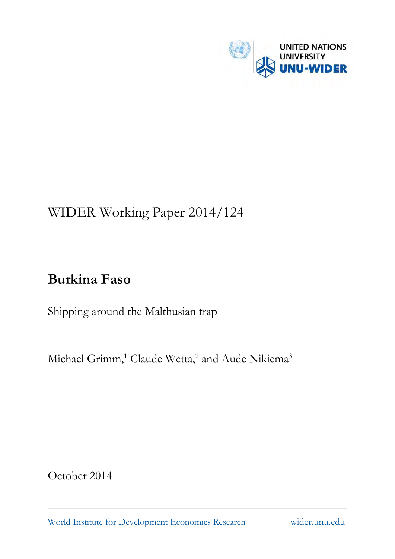

# WIDER Working Paper 2014/124

# **Burkina Faso**

Shipping around the Malthusian trap

Michael Grimm,<sup>1</sup> Claude Wetta,<sup>2</sup> and Aude Nikiema<sup>3</sup>

October 2014

World Institute for Development Economics Research wider.unu.edu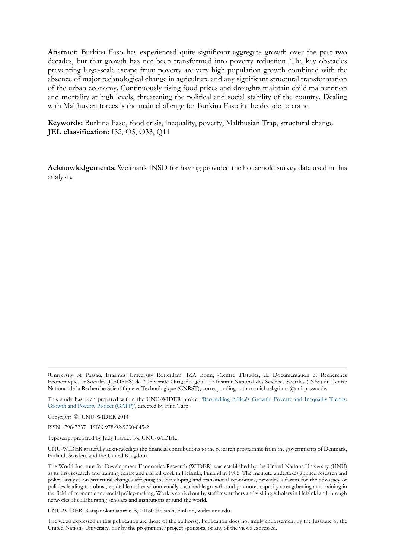**Abstract:** Burkina Faso has experienced quite significant aggregate growth over the past two decades, but that growth has not been transformed into poverty reduction. The key obstacles preventing large-scale escape from poverty are very high population growth combined with the absence of major technological change in agriculture and any significant structural transformation of the urban economy. Continuously rising food prices and droughts maintain child malnutrition and mortality at high levels, threatening the political and social stability of the country. Dealing with Malthusian forces is the main challenge for Burkina Faso in the decade to come.

**Keywords:** Burkina Faso, food crisis, inequality, poverty, Malthusian Trap, structural change **JEL classification:** I32, O5, O33, Q11

**Acknowledgements:** We thank INSD for having provided the household survey data used in this analysis.

1University of Passau, Erasmus University Rotterdam, IZA Bonn; 2Centre d'Etudes, de Documentation et Recherches Economiques et Sociales (CEDRES) de l'Université Ouagadougou II; 3 Institut National des Sciences Sociales (INSS) du Centre National de la Recherche Scientifique et Technologique (CNRST); corresponding author: michael.grimm@uni-passau.de.

This study has been prepared within the UNU-WIDER project 'Reconciling Africa's Growth, Poverty and Inequality Trends: Growth and Poverty Project (GAPP)', directed by Finn Tarp.

Copyright © UNU-WIDER 2014

ISSN 1798-7237 ISBN 978-92-9230-845-2

Typescript prepared by Judy Hartley for UNU-WIDER.

UNU-WIDER gratefully acknowledges the financial contributions to the research programme from the governments of Denmark, Finland, Sweden, and the United Kingdom.

The World Institute for Development Economics Research (WIDER) was established by the United Nations University (UNU) as its first research and training centre and started work in Helsinki, Finland in 1985. The Institute undertakes applied research and policy analysis on structural changes affecting the developing and transitional economies, provides a forum for the advocacy of policies leading to robust, equitable and environmentally sustainable growth, and promotes capacity strengthening and training in the field of economic and social policy-making. Work is carried out by staff researchers and visiting scholars in Helsinki and through networks of collaborating scholars and institutions around the world.

UNU-WIDER, Katajanokanlaituri 6 B, 00160 Helsinki, Finland, wider.unu.edu

The views expressed in this publication are those of the author(s). Publication does not imply endorsement by the Institute or the United Nations University, nor by the programme/project sponsors, of any of the views expressed.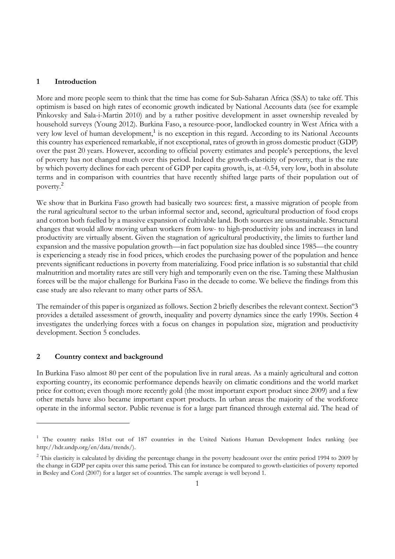## **1 Introduction**

More and more people seem to think that the time has come for Sub-Saharan Africa (SSA) to take off. This optimism is based on high rates of economic growth indicated by National Accounts data (see for example Pinkovsky and Sala-i-Martin 2010) and by a rather positive development in asset ownership revealed by household surveys (Young 2012). Burkina Faso, a resource-poor, landlocked country in West Africa with a very low level of human development,<sup>1</sup> is no exception in this regard. According to its National Accounts this country has experienced remarkable, if not exceptional, rates of growth in gross domestic product (GDP) over the past 20 years. However, according to official poverty estimates and people's perceptions, the level of poverty has not changed much over this period. Indeed the growth-elasticity of poverty, that is the rate by which poverty declines for each percent of GDP per capita growth, is, at -0.54, very low, both in absolute terms and in comparison with countries that have recently shifted large parts of their population out of poverty.<sup>2</sup>

We show that in Burkina Faso growth had basically two sources: first, a massive migration of people from the rural agricultural sector to the urban informal sector and, second, agricultural production of food crops and cotton both fuelled by a massive expansion of cultivable land. Both sources are unsustainable. Structural changes that would allow moving urban workers from low- to high-productivity jobs and increases in land productivity are virtually absent. Given the stagnation of agricultural productivity, the limits to further land expansion and the massive population growth—in fact population size has doubled since 1985—the country is experiencing a steady rise in food prices, which erodes the purchasing power of the population and hence prevents significant reductions in poverty from materializing. Food price inflation is so substantial that child malnutrition and mortality rates are still very high and temporarily even on the rise. Taming these Malthusian forces will be the major challenge for Burkina Faso in the decade to come. We believe the findings from this case study are also relevant to many other parts of SSA.

The remainder of this paper is organized as follows. Section 2 briefly describes the relevant context. Section<sup>o</sup>3 provides a detailed assessment of growth, inequality and poverty dynamics since the early 1990s. Section 4 investigates the underlying forces with a focus on changes in population size, migration and productivity development. Section 5 concludes.

## **2 Country context and background**

-

In Burkina Faso almost 80 per cent of the population live in rural areas. As a mainly agricultural and cotton exporting country, its economic performance depends heavily on climatic conditions and the world market price for cotton; even though more recently gold (the most important export product since 2009) and a few other metals have also became important export products. In urban areas the majority of the workforce operate in the informal sector. Public revenue is for a large part financed through external aid. The head of

<sup>&</sup>lt;sup>1</sup> The country ranks 181st out of 187 countries in the United Nations Human Development Index ranking (see http://hdr.undp.org/en/data/trends/).

 $2$  This elasticity is calculated by dividing the percentage change in the poverty headcount over the entire period 1994 to 2009 by the change in GDP per capita over this same period. This can for instance be compared to growth-elasticities of poverty reported in Besley and Cord (2007) for a larger set of countries. The sample average is well beyond 1.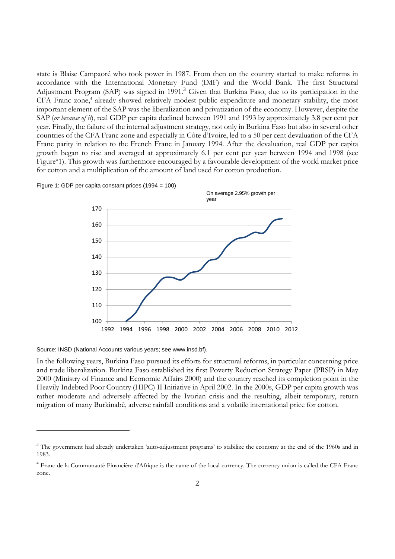state is Blaise Campaoré who took power in 1987. From then on the country started to make reforms in accordance with the International Monetary Fund (IMF) and the World Bank. The first Structural Adjustment Program (SAP) was signed in 1991.<sup>3</sup> Given that Burkina Faso, due to its participation in the CFA Franc zone,<sup>4</sup> already showed relatively modest public expenditure and monetary stability, the most important element of the SAP was the liberalization and privatization of the economy. However, despite the SAP (*or because of it*), real GDP per capita declined between 1991 and 1993 by approximately 3.8 per cent per year. Finally, the failure of the internal adjustment strategy, not only in Burkina Faso but also in several other countries of the CFA Franc zone and especially in Côte d'Ivoire, led to a 50 per cent devaluation of the CFA Franc parity in relation to the French Franc in January 1994. After the devaluation, real GDP per capita growth began to rise and averaged at approximately 6.1 per cent per year between 1994 and 1998 (see Figureº1). This growth was furthermore encouraged by a favourable development of the world market price for cotton and a multiplication of the amount of land used for cotton production.



Figure 1: GDP per capita constant prices (1994 = 100)

Source: INSD (National Accounts various years; see www.insd.bf).

-

In the following years, Burkina Faso pursued its efforts for structural reforms, in particular concerning price and trade liberalization. Burkina Faso established its first Poverty Reduction Strategy Paper (PRSP) in May 2000 (Ministry of Finance and Economic Affairs 2000) and the country reached its completion point in the Heavily Indebted Poor Country (HIPC) II Initiative in April 2002. In the 2000s, GDP per capita growth was rather moderate and adversely affected by the Ivorian crisis and the resulting, albeit temporary, return migration of many Burkinabè, adverse rainfall conditions and a volatile international price for cotton.

<sup>&</sup>lt;sup>3</sup> The government had already undertaken 'auto-adjustment programs' to stabilize the economy at the end of the 1960s and in 1983.

<sup>&</sup>lt;sup>4</sup> Franc de la Communauté Financière d'Afrique is the name of the local currency. The currency union is called the CFA Franc zone.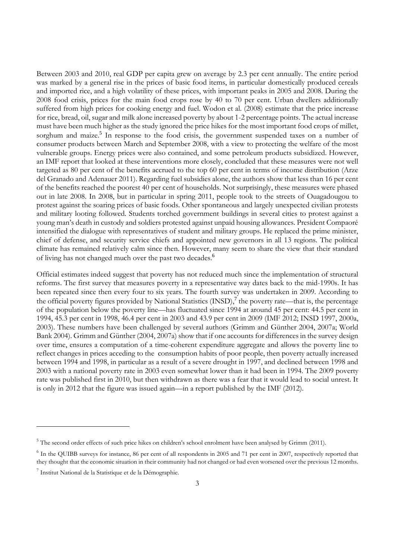Between 2003 and 2010, real GDP per capita grew on average by 2.3 per cent annually. The entire period was marked by a general rise in the prices of basic food items, in particular domestically produced cereals and imported rice, and a high volatility of these prices, with important peaks in 2005 and 2008. During the 2008 food crisis, prices for the main food crops rose by 40 to 70 per cent. Urban dwellers additionally suffered from high prices for cooking energy and fuel. Wodon et al. (2008) estimate that the price increase for rice, bread, oil, sugar and milk alone increased poverty by about 1-2 percentage points. The actual increase must have been much higher as the study ignored the price hikes for the most important food crops of millet, sorghum and maize.<sup>5</sup> In response to the food crisis, the government suspended taxes on a number of consumer products between March and September 2008, with a view to protecting the welfare of the most vulnerable groups. Energy prices were also contained, and some petroleum products subsidized. However, an IMF report that looked at these interventions more closely, concluded that these measures were not well targeted as 80 per cent of the benefits accrued to the top 60 per cent in terms of income distribution (Arze del Granado and Adenauer 2011). Regarding fuel subsidies alone, the authors show that less than 16 per cent of the benefits reached the poorest 40 per cent of households. Not surprisingly, these measures were phased out in late 2008. In 2008, but in particular in spring 2011, people took to the streets of Ouagadougou to protest against the soaring prices of basic foods. Other spontaneous and largely unexpected civilian protests and military looting followed. Students torched government buildings in several cities to protest against a young man's death in custody and soldiers protested against unpaid housing allowances. President Compaoré intensified the dialogue with representatives of student and military groups. He replaced the prime minister, chief of defense, and security service chiefs and appointed new governors in all 13 regions. The political climate has remained relatively calm since then. However, many seem to share the view that their standard of living has not changed much over the past two decades.<sup>6</sup>

Official estimates indeed suggest that poverty has not reduced much since the implementation of structural reforms. The first survey that measures poverty in a representative way dates back to the mid-1990s. It has been repeated since then every four to six years. The fourth survey was undertaken in 2009. According to the official poverty figures provided by National Statistics (INSD),<sup>7</sup> the poverty rate—that is, the percentage of the population below the poverty line—has fluctuated since 1994 at around 45 per cent: 44.5 per cent in 1994, 45.3 per cent in 1998, 46.4 per cent in 2003 and 43.9 per cent in 2009 (IMF 2012; INSD 1997, 2000a, 2003). These numbers have been challenged by several authors (Grimm and Günther 2004, 2007a; World Bank 2004). Grimm and Günther (2004, 2007a) show that if one accounts for differences in the survey design over time, ensures a computation of a time-coherent expenditure aggregate and allows the poverty line to reflect changes in prices acceding to the consumption habits of poor people, then poverty actually increased between 1994 and 1998, in particular as a result of a severe drought in 1997, and declined between 1998 and 2003 with a national poverty rate in 2003 even somewhat lower than it had been in 1994. The 2009 poverty rate was published first in 2010, but then withdrawn as there was a fear that it would lead to social unrest. It is only in 2012 that the figure was issued again—in a report published by the IMF (2012).

<sup>&</sup>lt;sup>5</sup> The second order effects of such price hikes on children's school enrolment have been analysed by Grimm (2011).

<sup>&</sup>lt;sup>6</sup> In the QUIBB surveys for instance, 86 per cent of all respondents in 2005 and 71 per cent in 2007, respectively reported that they thought that the economic situation in their community had not changed or had even worsened over the previous 12 months.

<sup>7</sup> Institut National de la Statistique et de la Démographie.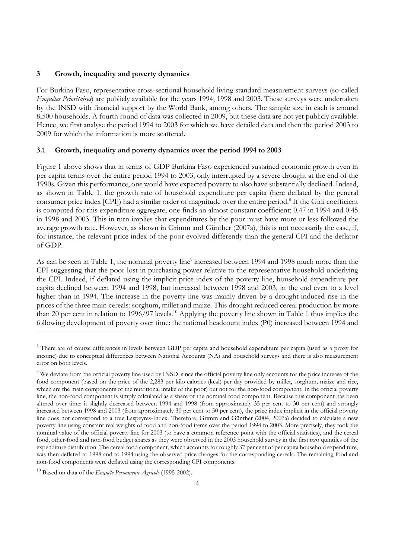## **3 Growth, inequality and poverty dynamics**

For Burkina Faso, representative cross-sectional household living standard measurement surveys (so-called *Enquêtes Prioritaires*) are publicly available for the years 1994, 1998 and 2003. These surveys were undertaken by the INSD with financial support by the World Bank, among others. The sample size in each is around 8,500 households. A fourth round of data was collected in 2009, but these data are not yet publicly available. Hence, we first analyse the period 1994 to 2003 for which we have detailed data and then the period 2003 to 2009 for which the information is more scattered.

## **3.1 Growth, inequality and poverty dynamics over the period 1994 to 2003**

Figure 1 above shows that in terms of GDP Burkina Faso experienced sustained economic growth even in per capita terms over the entire period 1994 to 2003, only interrupted by a severe drought at the end of the 1990s. Given this performance, one would have expected poverty to also have substantially declined. Indeed, as shown in Table 1, the growth rate of household expenditure per capita (here deflated by the general consumer price index [CPI]) had a similar order of magnitude over the entire period.<sup>8</sup> If the Gini coefficient is computed for this expenditure aggregate, one finds an almost constant coefficient; 0.47 in 1994 and 0.45 in 1998 and 2003. This in turn implies that expenditures by the poor must have more or less followed the average growth rate. However, as shown in Grimm and Günther (2007a), this is not necessarily the case, if, for instance, the relevant price index of the poor evolved differently than the general CPI and the deflator of GDP.

As can be seen in Table 1, the nominal poverty line<sup>9</sup> increased between 1994 and 1998 much more than the CPI suggesting that the poor lost in purchasing power relative to the representative household underlying the CPI. Indeed, if deflated using the implicit price index of the poverty line, household expenditure per capita declined between 1994 and 1998, but increased between 1998 and 2003, in the end even to a level higher than in 1994. The increase in the poverty line was mainly driven by a drought-induced rise in the prices of the three main cereals: sorghum, millet and maize. This drought reduced cereal production by more than 20 per cent in relation to 1996/97 levels.<sup>10</sup> Applying the poverty line shown in Table 1 thus implies the following development of poverty over time: the national headcount index (P0) increased between 1994 and

10 Based on data of the *Enquête Permanente Agricole* (1995-2002).

<sup>&</sup>lt;sup>8</sup> There are of course differences in levels between GDP per capita and household expenditure per capita (used as a proxy for income) due to conceptual differences between National Accounts (NA) and household surveys and there is also measurement error on both levels.

<sup>&</sup>lt;sup>9</sup> We deviate from the official poverty line used by INSD, since the official poverty line only accounts for the price increase of the food component (based on the price of the 2,283 per kilo calories (kcal) per day provided by millet, sorghum, maize and rice, which are the main components of the nutritional intake of the poor) but not for the non-food component. In the official poverty line, the non-food component is simply calculated as a share of the nominal food component. Because this component has been altered over time: it slightly decreased between 1994 and 1998 (from approximately 35 per cent to 30 per cent) and strongly increased between 1998 and 2003 (from approximately 30 per cent to 50 per cent), the price index implicit in the official poverty line does not correspond to a true Laspeyres-Index. Therefore, Grimm and Günther (2004, 2007a) decided to calculate a new poverty line using constant real weights of food and non-food items over the period 1994 to 2003. More precisely, they took the nominal value of the official poverty line for 2003 (to have a common reference point with the official statistics), and the cereal food, other-food and non-food budget shares as they were observed in the 2003 household survey in the first two quintiles of the expenditure distribution. The cereal food component, which accounts for roughly 37 per cent of per capita household expenditure, was then deflated to 1998 and to 1994 using the observed price changes for the corresponding cereals. The remaining food and non-food components were deflated using the corresponding CPI components.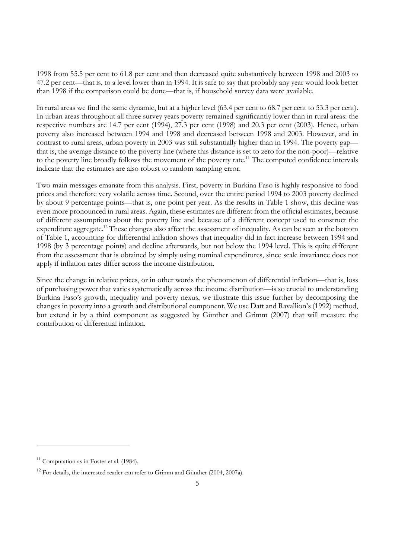1998 from 55.5 per cent to 61.8 per cent and then decreased quite substantively between 1998 and 2003 to 47.2 per cent—that is, to a level lower than in 1994. It is safe to say that probably any year would look better than 1998 if the comparison could be done—that is, if household survey data were available.

In rural areas we find the same dynamic, but at a higher level (63.4 per cent to 68.7 per cent to 53.3 per cent). In urban areas throughout all three survey years poverty remained significantly lower than in rural areas: the respective numbers are 14.7 per cent (1994), 27.3 per cent (1998) and 20.3 per cent (2003). Hence, urban poverty also increased between 1994 and 1998 and decreased between 1998 and 2003. However, and in contrast to rural areas, urban poverty in 2003 was still substantially higher than in 1994. The poverty gap that is, the average distance to the poverty line (where this distance is set to zero for the non-poor)—relative to the poverty line broadly follows the movement of the poverty rate.<sup>11</sup> The computed confidence intervals indicate that the estimates are also robust to random sampling error.

Two main messages emanate from this analysis. First, poverty in Burkina Faso is highly responsive to food prices and therefore very volatile across time. Second, over the entire period 1994 to 2003 poverty declined by about 9 percentage points—that is, one point per year. As the results in Table 1 show, this decline was even more pronounced in rural areas. Again, these estimates are different from the official estimates, because of different assumptions about the poverty line and because of a different concept used to construct the expenditure aggregate.<sup>12</sup> These changes also affect the assessment of inequality. As can be seen at the bottom of Table 1, accounting for differential inflation shows that inequality did in fact increase between 1994 and 1998 (by 3 percentage points) and decline afterwards, but not below the 1994 level. This is quite different from the assessment that is obtained by simply using nominal expenditures, since scale invariance does not apply if inflation rates differ across the income distribution.

Since the change in relative prices, or in other words the phenomenon of differential inflation—that is, loss of purchasing power that varies systematically across the income distribution—is so crucial to understanding Burkina Faso's growth, inequality and poverty nexus, we illustrate this issue further by decomposing the changes in poverty into a growth and distributional component. We use Datt and Ravallion's (1992) method, but extend it by a third component as suggested by Günther and Grimm (2007) that will measure the contribution of differential inflation.

 $11$  Computation as in Foster et al. (1984).

 $12$  For details, the interested reader can refer to Grimm and Günther (2004, 2007a).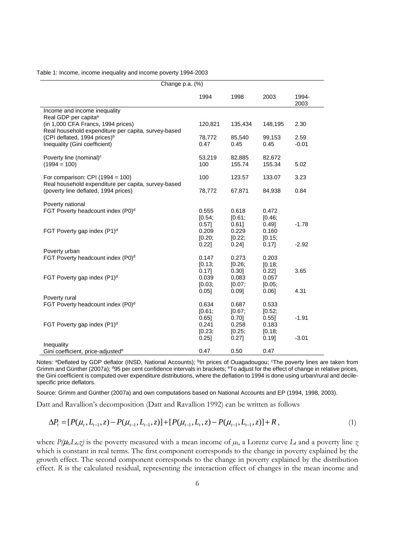| Change p.a. (%)                                                                                                               |                    |                  |                    |                 |  |  |  |
|-------------------------------------------------------------------------------------------------------------------------------|--------------------|------------------|--------------------|-----------------|--|--|--|
|                                                                                                                               | 1994               | 1998             | 2003               | 1994-<br>2003   |  |  |  |
| Income and income inequality                                                                                                  |                    |                  |                    |                 |  |  |  |
| Real GDP per capita <sup>a</sup><br>(in 1,000 CFA Francs, 1994 prices)<br>Real household expenditure per capita, survey-based | 120,821            | 135,434          | 148,195            | 2.30            |  |  |  |
| (CPI deflated, 1994 prices) <sup>b</sup><br>Inequality (Gini coefficient)                                                     | 78,772<br>0.47     | 85,540<br>0.45   | 99,153<br>0.45     | 2.59<br>$-0.01$ |  |  |  |
| Poverty line (nominal) <sup>c</sup><br>$(1994 = 100)$                                                                         | 53,219<br>100      | 82,885<br>155.74 | 82,672<br>155.34   | 5.02            |  |  |  |
| For comparison: CPI $(1994 = 100)$<br>Real household expenditure per capita, survey-based                                     | 100                | 123.57           | 133.07             | 3.23            |  |  |  |
| (poverty line deflated, 1994 prices)                                                                                          | 78,772             | 67,871           | 84,938             | 0.84            |  |  |  |
| Poverty national                                                                                                              |                    |                  |                    |                 |  |  |  |
| FGT Poverty headcount index (P0) <sup>d</sup>                                                                                 | 0.555              | 0.618            | 0.472              |                 |  |  |  |
|                                                                                                                               | [0.54]<br>$0.57$ ] | [0.61]<br>0.61]  | [0.46]<br>0.49]    | $-1.78$         |  |  |  |
| FGT Poverty gap index (P1) <sup>d</sup>                                                                                       | 0.209              | 0.229            | 0.160              |                 |  |  |  |
|                                                                                                                               | [0.20;<br>0.22]    | [0.22;<br>0.24]  | [0.15;<br>$0.17$ ] | $-2.92$         |  |  |  |
| Poverty urban                                                                                                                 |                    |                  |                    |                 |  |  |  |
| FGT Poverty headcount index (P0) <sup>d</sup>                                                                                 | 0.147<br>[0.13;    | 0.273<br>[0.26]  | 0.203<br>[0.18;    |                 |  |  |  |
|                                                                                                                               | $0.17$ ]           | 0.30]            | 0.22]              | 3.65            |  |  |  |
| FGT Poverty gap index (P1) <sup>d</sup>                                                                                       | 0.039<br>[0.03;    | 0.083<br>[0.07;  | 0.057<br>[0.05;    |                 |  |  |  |
|                                                                                                                               | 0.05]              | 0.09]            | 0.06]              | 4.31            |  |  |  |
| Poverty rural                                                                                                                 |                    |                  |                    |                 |  |  |  |
| FGT Poverty headcount index (P0) <sup>d</sup>                                                                                 | 0.634<br>[0.61;    | 0.687<br>[0.67;  | 0.533<br>[0.52;    |                 |  |  |  |
|                                                                                                                               | 0.65]              | 0.70]            | 0.55]              | $-1.91$         |  |  |  |
| FGT Poverty gap index (P1) <sup>d</sup>                                                                                       | 0.241<br>[0.23;    | 0.258<br>[0.25;  | 0.183<br>[0.18;    |                 |  |  |  |
|                                                                                                                               | 0.25]              | $0.27$ ]         | 0.19]              | $-3.01$         |  |  |  |
| Inequality<br>Gini coefficient, price-adjusted <sup>e</sup>                                                                   | 0.47               | 0.50             | 0.47               |                 |  |  |  |

Table 1: Income, income inequality and income poverty 1994-2003

Notes: <sup>a</sup>Deflated by GDP deflator (INSD, National Accounts); <sup>b</sup>In prices of Ouagadougou; <sup>c</sup>The poverty lines are taken from Grimm and Günther (2007a); <sup>d</sup>95 per cent confidence intervals in brackets; <sup>e</sup>To adjust for the effect of change in relative prices, the Gini coefficient is computed over expenditure distributions, where the deflation to 1994 is done using urban/rural and decilespecific price deflators.

Source: Grimm and Günther (2007a) and own computations based on National Accounts and EP (1994, 1998, 2003).

Datt and Ravallion's decomposition (Datt and Ravallion 1992) can be written as follows

$$
\Delta P_t = [P(\mu_t, L_{t-1}, z) - P(\mu_{t-1}, L_{t-1}, z)] + [P(\mu_{t-1}, L_t, z) - P(\mu_{t-1}, L_{t-1}, z)] + R,
$$
\n<sup>(1)</sup>

where  $P(\mu_t, L_t, z)$  is the poverty measured with a mean income of  $\mu_t$ , a Lorenz curve  $L_t$  and a poverty line  $z$ which is constant in real terms. The first component corresponds to the change in poverty explained by the growth effect. The second component corresponds to the change in poverty explained by the distribution effect. *R* is the calculated residual, representing the interaction effect of changes in the mean income and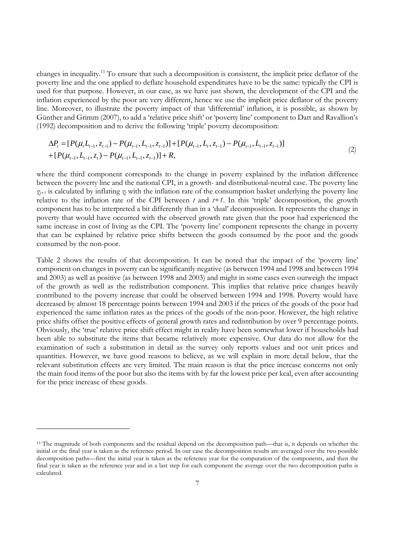changes in inequality.13 To ensure that such a decomposition is consistent, the implicit price deflator of the poverty line and the one applied to deflate household expenditures have to be the same: typically the CPI is used for that purpose. However, in our case, as we have just shown, the development of the CPI and the inflation experienced by the poor are very different, hence we use the implicit price deflator of the poverty line. Moreover, to illustrate the poverty impact of that 'differential' inflation, it is possible, as shown by Günther and Grimm (2007), to add a 'relative price shift' or 'poverty line' component to Datt and Ravallion's (1992) decomposition and to derive the following 'triple' poverty decomposition:

$$
\Delta P_t = [P(\mu_t L_{t-1}, z_{t-1}) - P(\mu_{t-1}, L_{t-1}, z_{t-1})] + [P(\mu_{t-1}, L_t, z_{t-1}) - P(\mu_{t-1}, L_{t-1}, z_{t-1})]
$$
  
+ 
$$
[P(\mu_{t-1}, L_{t-1}, z_t) - P(\mu_{t-1}, L_{t-1}, z_{t-1})] + R,
$$
\n(2)

where the third component corresponds to the change in poverty explained by the inflation difference between the poverty line and the national CPI, in a growth- and distributional-neutral case. The poverty line  $z_{t+1}$  is calculated by inflating  $z_t$  with the inflation rate of the consumption basket underlying the poverty line relative to the inflation rate of the CPI between *t* and *t+1*. In this 'triple' decomposition, the growth component has to be interpreted a bit differently than in a 'dual' decomposition. It represents the change in poverty that would have occurred with the observed growth rate given that the poor had experienced the same increase in cost of living as the CPI. The 'poverty line' component represents the change in poverty that can be explained by relative price shifts between the goods consumed by the poor and the goods consumed by the non-poor.

Table 2 shows the results of that decomposition. It can be noted that the impact of the 'poverty line' component on changes in poverty can be significantly negative (as between 1994 and 1998 and between 1994 and 2003) as well as positive (as between 1998 and 2003) and might in some cases even outweigh the impact of the growth as well as the redistribution component. This implies that relative price changes heavily contributed to the poverty increase that could be observed between 1994 and 1998. Poverty would have decreased by almost 18 percentage points between 1994 and 2003 if the prices of the goods of the poor had experienced the same inflation rates as the prices of the goods of the non-poor. However, the high relative price shifts offset the positive effects of general growth rates and redistribution by over 9 percentage points. Obviously, the 'true' relative price shift effect might in reality have been somewhat lower if households had been able to substitute the items that became relatively more expensive. Our data do not allow for the examination of such a substitution in detail as the survey only reports values and not unit prices and quantities. However, we have good reasons to believe, as we will explain in more detail below, that the relevant substitution effects are very limited. The main reason is that the price increase concerns not only the main food items of the poor but also the items with by far the lowest price per kcal, even after accounting for the price increase of these goods.

<u>.</u>

<sup>13</sup> The magnitude of both components and the residual depend on the decomposition path—that is, it depends on whether the initial or the final year is taken as the reference period. In our case the decomposition results are averaged over the two possible decomposition paths—first the initial year is taken as the reference year for the computation of the components, and then the final year is taken as the reference year and in a last step for each component the average over the two decomposition paths is calculated.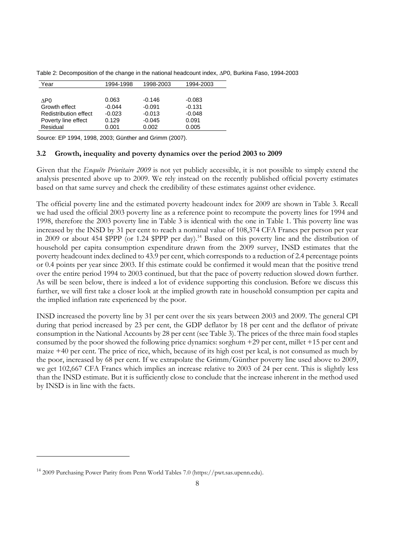| Year                  | 1994-1998 | 1998-2003 | 1994-2003 |
|-----------------------|-----------|-----------|-----------|
|                       |           |           |           |
| ΔP0                   | 0.063     | $-0.146$  | $-0.083$  |
| Growth effect         | $-0.044$  | $-0.091$  | $-0.131$  |
| Redistribution effect | $-0.023$  | $-0.013$  | $-0.048$  |
| Poverty line effect   | 0.129     | $-0.045$  | 0.091     |
| Residual              | 0.001     | 0.002     | 0.005     |

Table 2: Decomposition of the change in the national headcount index, ΔP0, Burkina Faso, 1994-2003

Source: EP 1994, 1998, 2003; Günther and Grimm (2007).

### **3.2 Growth, inequality and poverty dynamics over the period 2003 to 2009**

Given that the *Enquête Prioritaire 2009* is not yet publicly accessible, it is not possible to simply extend the analysis presented above up to 2009. We rely instead on the recently published official poverty estimates based on that same survey and check the credibility of these estimates against other evidence.

The official poverty line and the estimated poverty headcount index for 2009 are shown in Table 3. Recall we had used the official 2003 poverty line as a reference point to recompute the poverty lines for 1994 and 1998, therefore the 2003 poverty line in Table 3 is identical with the one in Table 1. This poverty line was increased by the INSD by 31 per cent to reach a nominal value of 108,374 CFA Francs per person per year in 2009 or about 454 \$PPP (or 1.24 \$PPP per day).<sup>14</sup> Based on this poverty line and the distribution of household per capita consumption expenditure drawn from the 2009 survey, INSD estimates that the poverty headcount index declined to 43.9 per cent, which corresponds to a reduction of 2.4 percentage points or 0.4 points per year since 2003. If this estimate could be confirmed it would mean that the positive trend over the entire period 1994 to 2003 continued, but that the pace of poverty reduction slowed down further. As will be seen below, there is indeed a lot of evidence supporting this conclusion. Before we discuss this further, we will first take a closer look at the implied growth rate in household consumption per capita and the implied inflation rate experienced by the poor.

INSD increased the poverty line by 31 per cent over the six years between 2003 and 2009. The general CPI during that period increased by 23 per cent, the GDP deflator by 18 per cent and the deflator of private consumption in the National Accounts by 28 per cent (see Table 3). The prices of the three main food staples consumed by the poor showed the following price dynamics: sorghum +29 per cent, millet +15 per cent and maize +40 per cent. The price of rice, which, because of its high cost per kcal, is not consumed as much by the poor, increased by 68 per cent. If we extrapolate the Grimm/Günther poverty line used above to 2009, we get 102,667 CFA Francs which implies an increase relative to 2003 of 24 per cent. This is slightly less than the INSD estimate. But it is sufficiently close to conclude that the increase inherent in the method used by INSD is in line with the facts.

<sup>&</sup>lt;sup>14</sup> 2009 Purchasing Power Parity from Penn World Tables 7.0 (https://pwt.sas.upenn.edu).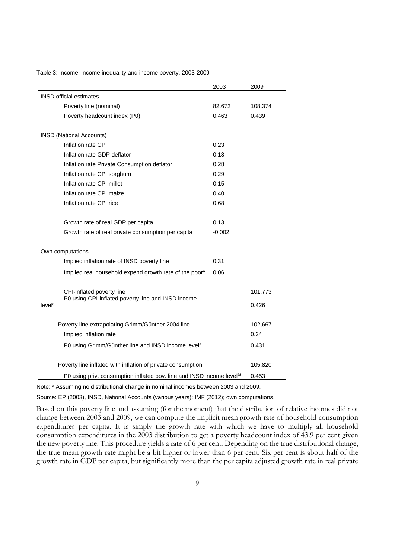|                    |                                                                                   | 2003     | 2009    |
|--------------------|-----------------------------------------------------------------------------------|----------|---------|
|                    | <b>INSD</b> official estimates                                                    |          |         |
|                    | Poverty line (nominal)                                                            | 82,672   | 108,374 |
|                    | Poverty headcount index (P0)                                                      | 0.463    | 0.439   |
|                    | <b>INSD (National Accounts)</b>                                                   |          |         |
|                    | Inflation rate CPI                                                                | 0.23     |         |
|                    | Inflation rate GDP deflator                                                       | 0.18     |         |
|                    | Inflation rate Private Consumption deflator                                       | 0.28     |         |
|                    | Inflation rate CPI sorghum                                                        | 0.29     |         |
|                    | Inflation rate CPI millet                                                         | 0.15     |         |
|                    | Inflation rate CPI maize                                                          | 0.40     |         |
|                    | Inflation rate CPI rice                                                           | 0.68     |         |
|                    | Growth rate of real GDP per capita                                                | 0.13     |         |
|                    | Growth rate of real private consumption per capita                                | $-0.002$ |         |
|                    | Own computations                                                                  |          |         |
|                    | Implied inflation rate of INSD poverty line                                       | 0.31     |         |
|                    | Implied real household expend growth rate of the poor <sup>a</sup>                | 0.06     |         |
|                    | CPI-inflated poverty line                                                         |          | 101,773 |
| level <sup>a</sup> | P0 using CPI-inflated poverty line and INSD income                                |          | 0.426   |
|                    | Poverty line extrapolating Grimm/Günther 2004 line                                |          | 102,667 |
|                    | Implied inflation rate                                                            |          | 0.24    |
|                    | P0 using Grimm/Günther line and INSD income level <sup>a</sup>                    |          | 0.431   |
|                    | Poverty line inflated with inflation of private consumption                       |          | 105,820 |
|                    | P0 using priv. consumption inflated pov. line and INSD income level <sup>a)</sup> |          | 0.453   |

Table 3: Income, income inequality and income poverty, 2003-2009

Note: <sup>a</sup> Assuming no distributional change in nominal incomes between 2003 and 2009.

Source: EP (2003), INSD, National Accounts (various years); IMF (2012); own computations.

Based on this poverty line and assuming (for the moment) that the distribution of relative incomes did not change between 2003 and 2009, we can compute the implicit mean growth rate of household consumption expenditures per capita. It is simply the growth rate with which we have to multiply all household consumption expenditures in the 2003 distribution to get a poverty headcount index of 43.9 per cent given the new poverty line. This procedure yields a rate of 6 per cent. Depending on the true distributional change, the true mean growth rate might be a bit higher or lower than 6 per cent. Six per cent is about half of the growth rate in GDP per capita, but significantly more than the per capita adjusted growth rate in real private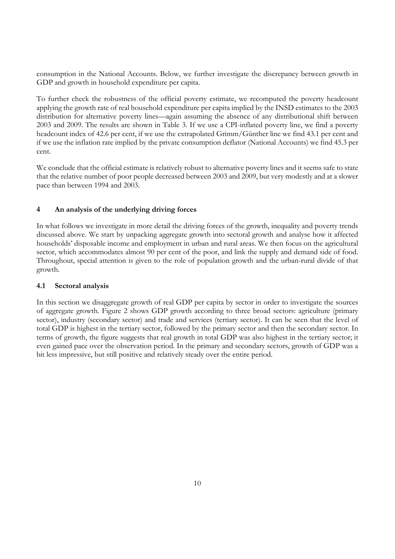consumption in the National Accounts. Below, we further investigate the discrepancy between growth in GDP and growth in household expenditure per capita.

To further check the robustness of the official poverty estimate, we recomputed the poverty headcount applying the growth rate of real household expenditure per capita implied by the INSD estimates to the 2003 distribution for alternative poverty lines—again assuming the absence of any distributional shift between 2003 and 2009. The results are shown in Table 3. If we use a CPI-inflated poverty line, we find a poverty headcount index of 42.6 per cent, if we use the extrapolated Grimm/Günther line we find 43.1 per cent and if we use the inflation rate implied by the private consumption deflator (National Accounts) we find 45.3 per cent.

We conclude that the official estimate is relatively robust to alternative poverty lines and it seems safe to state that the relative number of poor people decreased between 2003 and 2009, but very modestly and at a slower pace than between 1994 and 2003.

# **4 An analysis of the underlying driving forces**

In what follows we investigate in more detail the driving forces of the growth, inequality and poverty trends discussed above. We start by unpacking aggregate growth into sectoral growth and analyse how it affected households' disposable income and employment in urban and rural areas. We then focus on the agricultural sector, which accommodates almost 90 per cent of the poor, and link the supply and demand side of food. Throughout, special attention is given to the role of population growth and the urban-rural divide of that growth.

## **4.1 Sectoral analysis**

In this section we disaggregate growth of real GDP per capita by sector in order to investigate the sources of aggregate growth. Figure 2 shows GDP growth according to three broad sectors: agriculture (primary sector), industry (secondary sector) and trade and services (tertiary sector). It can be seen that the level of total GDP is highest in the tertiary sector, followed by the primary sector and then the secondary sector. In terms of growth, the figure suggests that real growth in total GDP was also highest in the tertiary sector; it even gained pace over the observation period. In the primary and secondary sectors, growth of GDP was a bit less impressive, but still positive and relatively steady over the entire period.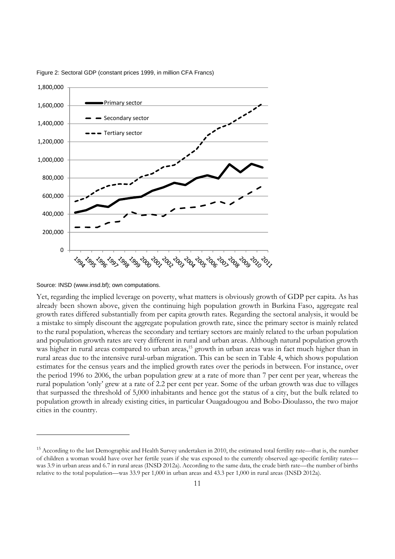

Figure 2: Sectoral GDP (constant prices 1999, in million CFA Francs)

-

Yet, regarding the implied leverage on poverty, what matters is obviously growth of GDP per capita. As has already been shown above, given the continuing high population growth in Burkina Faso, aggregate real growth rates differed substantially from per capita growth rates. Regarding the sectoral analysis, it would be a mistake to simply discount the aggregate population growth rate, since the primary sector is mainly related to the rural population, whereas the secondary and tertiary sectors are mainly related to the urban population and population growth rates are very different in rural and urban areas. Although natural population growth was higher in rural areas compared to urban areas,<sup>15</sup> growth in urban areas was in fact much higher than in rural areas due to the intensive rural-urban migration. This can be seen in Table 4, which shows population estimates for the census years and the implied growth rates over the periods in between. For instance, over the period 1996 to 2006, the urban population grew at a rate of more than 7 per cent per year, whereas the rural population 'only' grew at a rate of 2.2 per cent per year. Some of the urban growth was due to villages that surpassed the threshold of 5,000 inhabitants and hence got the status of a city, but the bulk related to population growth in already existing cities, in particular Ouagadougou and Bobo-Dioulasso, the two major cities in the country.

Source: INSD (www.insd.bf); own computations.

<sup>&</sup>lt;sup>15</sup> According to the last Demographic and Health Survey undertaken in 2010, the estimated total fertility rate—that is, the number of children a woman would have over her fertile years if she was exposed to the currently observed age-specific fertility rates was 3.9 in urban areas and 6.7 in rural areas (INSD 2012a). According to the same data, the crude birth rate—the number of births relative to the total population—was 33.9 per 1,000 in urban areas and 43.3 per 1,000 in rural areas (INSD 2012a).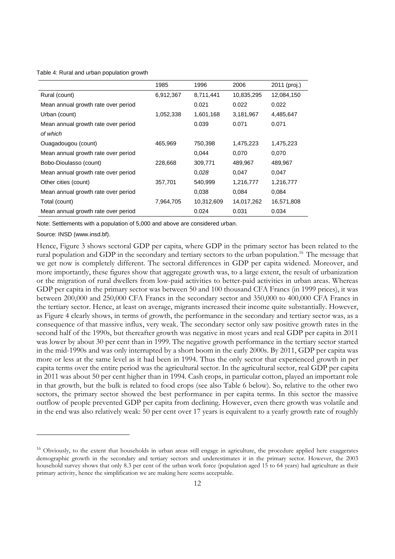Table 4: Rural and urban population growth

|                                     | 1985      | 1996       | 2006       | 2011 (proj.) |
|-------------------------------------|-----------|------------|------------|--------------|
| Rural (count)                       | 6,912,367 | 8,711,441  | 10,835,295 | 12,084,150   |
| Mean annual growth rate over period |           | 0.021      | 0.022      | 0.022        |
| Urban (count)                       | 1,052,338 | 1,601,168  | 3,181,967  | 4,485,647    |
| Mean annual growth rate over period |           | 0.039      | 0.071      | 0.071        |
| of which                            |           |            |            |              |
| Ouagadougou (count)                 | 465,969   | 750,398    | 1,475,223  | 1,475,223    |
| Mean annual growth rate over period |           | 0,044      | 0.070      | 0,070        |
| Bobo-Dioulasso (count)              | 228,668   | 309,771    | 489,967    | 489,967      |
| Mean annual growth rate over period |           | 0,028      | 0,047      | 0,047        |
| Other cities (count)                | 357.701   | 540,999    | 1,216,777  | 1,216,777    |
| Mean annual growth rate over period |           | 0,038      | 0,084      | 0,084        |
| Total (count)                       | 7,964,705 | 10,312,609 | 14,017,262 | 16,571,808   |
| Mean annual growth rate over period |           | 0.024      | 0.031      | 0.034        |

Note: Settlements with a population of 5,000 and above are considered urban.

Source: INSD (www.insd.bf).

-

Hence, Figure 3 shows sectoral GDP per capita, where GDP in the primary sector has been related to the rural population and GDP in the secondary and tertiary sectors to the urban population.<sup>16</sup> The message that we get now is completely different. The sectoral differences in GDP per capita widened. Moreover, and more importantly, these figures show that aggregate growth was, to a large extent, the result of urbanization or the migration of rural dwellers from low-paid activities to better-paid activities in urban areas. Whereas GDP per capita in the primary sector was between 50 and 100 thousand CFA Francs (in 1999 prices), it was between 200,000 and 250,000 CFA Francs in the secondary sector and 350,000 to 400,000 CFA Francs in the tertiary sector. Hence, at least on average, migrants increased their income quite substantially. However, as Figure 4 clearly shows, in terms of growth, the performance in the secondary and tertiary sector was, as a consequence of that massive influx, very weak. The secondary sector only saw positive growth rates in the second half of the 1990s, but thereafter growth was negative in most years and real GDP per capita in 2011 was lower by about 30 per cent than in 1999. The negative growth performance in the tertiary sector started in the mid-1990s and was only interrupted by a short boom in the early 2000s. By 2011, GDP per capita was more or less at the same level as it had been in 1994. Thus the only sector that experienced growth in per capita terms over the entire period was the agricultural sector. In the agricultural sector, real GDP per capita in 2011 was about 50 per cent higher than in 1994. Cash crops, in particular cotton, played an important role in that growth, but the bulk is related to food crops (see also Table 6 below). So, relative to the other two sectors, the primary sector showed the best performance in per capita terms. In this sector the massive outflow of people prevented GDP per capita from declining. However, even there growth was volatile and in the end was also relatively weak: 50 per cent over 17 years is equivalent to a yearly growth rate of roughly

<sup>&</sup>lt;sup>16</sup> Obviously, to the extent that households in urban areas still engage in agriculture, the procedure applied here exaggerates demographic growth in the secondary and tertiary sectors and underestimates it in the primary sector. However, the 2003 household survey shows that only 8.3 per cent of the urban work force (population aged 15 to 64 years) had agriculture as their primary activity, hence the simplification we are making here seems acceptable.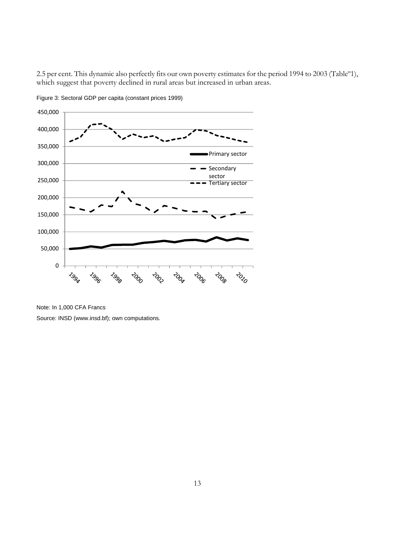2.5 per cent. This dynamic also perfectly fits our own poverty estimates for the period 1994 to 2003 (Tableº1), which suggest that poverty declined in rural areas but increased in urban areas.



Figure 3: Sectoral GDP per capita (constant prices 1999)

Note: In 1,000 CFA Francs Source: INSD (www.insd.bf); own computations.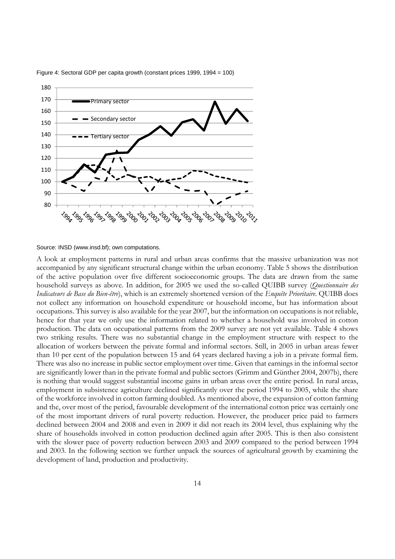

Figure 4: Sectoral GDP per capita growth (constant prices 1999, 1994 = 100)

A look at employment patterns in rural and urban areas confirms that the massive urbanization was not accompanied by any significant structural change within the urban economy. Table 5 shows the distribution of the active population over five different socioeconomic groups. The data are drawn from the same household surveys as above. In addition, for 2005 we used the so-called QUIBB survey (*Questionnaire des Indicateurs de Base du Bien-être*), which is an extremely shortened version of the *Enquête Prioritaire*. QUIBB does not collect any information on household expenditure or household income, but has information about occupations. This survey is also available for the year 2007, but the information on occupations is not reliable, hence for that year we only use the information related to whether a household was involved in cotton production. The data on occupational patterns from the 2009 survey are not yet available. Table 4 shows two striking results. There was no substantial change in the employment structure with respect to the allocation of workers between the private formal and informal sectors. Still, in 2005 in urban areas fewer than 10 per cent of the population between 15 and 64 years declared having a job in a private formal firm. There was also no increase in public sector employment over time. Given that earnings in the informal sector are significantly lower than in the private formal and public sectors (Grimm and Günther 2004, 2007b), there is nothing that would suggest substantial income gains in urban areas over the entire period. In rural areas, employment in subsistence agriculture declined significantly over the period 1994 to 2005, while the share of the workforce involved in cotton farming doubled. As mentioned above, the expansion of cotton farming and the, over most of the period, favourable development of the international cotton price was certainly one of the most important drivers of rural poverty reduction. However, the producer price paid to farmers declined between 2004 and 2008 and even in 2009 it did not reach its 2004 level, thus explaining why the share of households involved in cotton production declined again after 2005. This is then also consistent with the slower pace of poverty reduction between 2003 and 2009 compared to the period between 1994 and 2003. In the following section we further unpack the sources of agricultural growth by examining the development of land, production and productivity.

Source: INSD (www.insd.bf); own computations.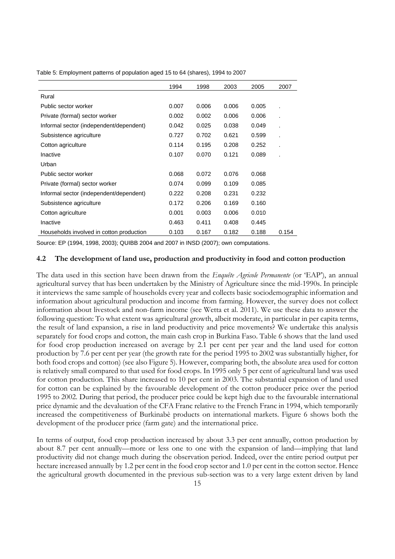|                                          | 1994  | 1998  | 2003  | 2005  | 2007  |
|------------------------------------------|-------|-------|-------|-------|-------|
| Rural                                    |       |       |       |       |       |
| Public sector worker                     | 0.007 | 0.006 | 0.006 | 0.005 | ÷.    |
| Private (formal) sector worker           | 0.002 | 0.002 | 0.006 | 0.006 | ä,    |
| Informal sector (independent/dependent)  | 0.042 | 0.025 | 0.038 | 0.049 | ä.    |
| Subsistence agriculture                  | 0.727 | 0.702 | 0.621 | 0.599 | ä.    |
| Cotton agriculture                       | 0.114 | 0.195 | 0.208 | 0.252 | ä,    |
| Inactive                                 | 0.107 | 0.070 | 0.121 | 0.089 | ä,    |
| Urban                                    |       |       |       |       |       |
| Public sector worker                     | 0.068 | 0.072 | 0.076 | 0.068 |       |
| Private (formal) sector worker           | 0.074 | 0.099 | 0.109 | 0.085 |       |
| Informal sector (independent/dependent)  | 0.222 | 0.208 | 0.231 | 0.232 |       |
| Subsistence agriculture                  | 0.172 | 0.206 | 0.169 | 0.160 |       |
| Cotton agriculture                       | 0.001 | 0.003 | 0.006 | 0.010 |       |
| Inactive                                 | 0.463 | 0.411 | 0.408 | 0.445 |       |
| Households involved in cotton production | 0.103 | 0.167 | 0.182 | 0.188 | 0.154 |

Table 5: Employment patterns of population aged 15 to 64 (shares), 1994 to 2007

Source: EP (1994, 1998, 2003); QUIBB 2004 and 2007 in INSD (2007); own computations.

#### **4.2 The development of land use, production and productivity in food and cotton production**

The data used in this section have been drawn from the *Enquête Agricole Permanente* (or 'EAP'), an annual agricultural survey that has been undertaken by the Ministry of Agriculture since the mid-1990s. In principle it interviews the same sample of households every year and collects basic sociodemographic information and information about agricultural production and income from farming. However, the survey does not collect information about livestock and non-farm income (see Wetta et al. 2011). We use these data to answer the following question: To what extent was agricultural growth, albeit moderate, in particular in per capita terms, the result of land expansion, a rise in land productivity and price movements? We undertake this analysis separately for food crops and cotton, the main cash crop in Burkina Faso. Table 6 shows that the land used for food crop production increased on average by 2.1 per cent per year and the land used for cotton production by 7.6 per cent per year (the growth rate for the period 1995 to 2002 was substantially higher, for both food crops and cotton) (see also Figure 5). However, comparing both, the absolute area used for cotton is relatively small compared to that used for food crops. In 1995 only 5 per cent of agricultural land was used for cotton production. This share increased to 10 per cent in 2003. The substantial expansion of land used for cotton can be explained by the favourable development of the cotton producer price over the period 1995 to 2002. During that period, the producer price could be kept high due to the favourable international price dynamic and the devaluation of the CFA Franc relative to the French Franc in 1994, which temporarily increased the competitiveness of Burkinabè products on international markets. Figure 6 shows both the development of the producer price (farm gate) and the international price.

In terms of output, food crop production increased by about 3.3 per cent annually, cotton production by about 8.7 per cent annually—more or less one to one with the expansion of land—implying that land productivity did not change much during the observation period. Indeed, over the entire period output per hectare increased annually by 1.2 per cent in the food crop sector and 1.0 per cent in the cotton sector. Hence the agricultural growth documented in the previous sub-section was to a very large extent driven by land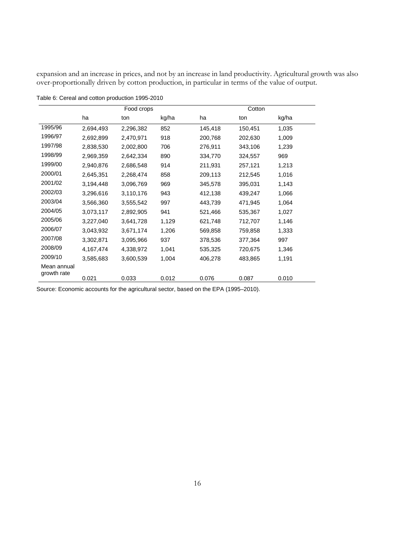expansion and an increase in prices, and not by an increase in land productivity. Agricultural growth was also over-proportionally driven by cotton production, in particular in terms of the value of output.

|             |           | Food crops |       |         | Cotton  |       |
|-------------|-----------|------------|-------|---------|---------|-------|
|             | ha        | ton        | kg/ha | ha      | ton     | kg/ha |
| 1995/96     | 2,694,493 | 2,296,382  | 852   | 145,418 | 150,451 | 1,035 |
| 1996/97     | 2,692,899 | 2,470,971  | 918   | 200,768 | 202,630 | 1,009 |
| 1997/98     | 2,838,530 | 2,002,800  | 706   | 276,911 | 343,106 | 1,239 |
| 1998/99     | 2,969,359 | 2,642,334  | 890   | 334,770 | 324,557 | 969   |
| 1999/00     | 2,940,876 | 2,686,548  | 914   | 211,931 | 257,121 | 1,213 |
| 2000/01     | 2,645,351 | 2,268,474  | 858   | 209,113 | 212,545 | 1,016 |
| 2001/02     | 3,194,448 | 3,096,769  | 969   | 345,578 | 395,031 | 1,143 |
| 2002/03     | 3,296,616 | 3,110,176  | 943   | 412,138 | 439,247 | 1,066 |
| 2003/04     | 3,566,360 | 3,555,542  | 997   | 443,739 | 471,945 | 1,064 |
| 2004/05     | 3,073,117 | 2,892,905  | 941   | 521,466 | 535,367 | 1,027 |
| 2005/06     | 3,227,040 | 3,641,728  | 1,129 | 621,748 | 712,707 | 1,146 |
| 2006/07     | 3,043,932 | 3,671,174  | 1,206 | 569,858 | 759,858 | 1,333 |
| 2007/08     | 3,302,871 | 3,095,966  | 937   | 378,536 | 377,364 | 997   |
| 2008/09     | 4,167,474 | 4,338,972  | 1,041 | 535,325 | 720,675 | 1,346 |
| 2009/10     | 3,585,683 | 3,600,539  | 1,004 | 406,278 | 483,865 | 1,191 |
| Mean annual |           |            |       |         |         |       |
| growth rate | 0.021     | 0.033      | 0.012 | 0.076   | 0.087   | 0.010 |

Table 6: Cereal and cotton production 1995-2010

Source: Economic accounts for the agricultural sector, based on the EPA (1995–2010).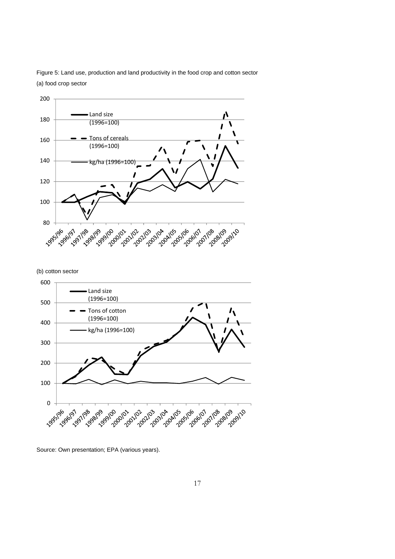

Figure 5: Land use, production and land productivity in the food crop and cotton sector (a) food crop sector

(b) cotton sector



Source: Own presentation; EPA (various years).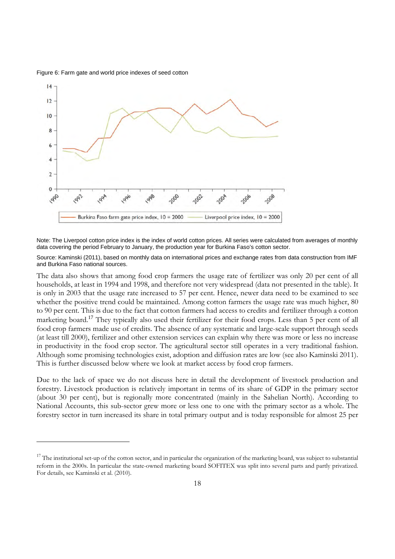Figure 6: Farm gate and world price indexes of seed cotton

 $\overline{a}$ 



Note: The Liverpool cotton price index is the index of world cotton prices. All series were calculated from averages of monthly data covering the period February to January, the production year for Burkina Faso's cotton sector.

Source: Kaminski (2011), based on monthly data on international prices and exchange rates from data construction from IMF and Burkina Faso national sources.

The data also shows that among food crop farmers the usage rate of fertilizer was only 20 per cent of all households, at least in 1994 and 1998, and therefore not very widespread (data not presented in the table). It is only in 2003 that the usage rate increased to 57 per cent. Hence, newer data need to be examined to see whether the positive trend could be maintained. Among cotton farmers the usage rate was much higher, 80 to 90 per cent. This is due to the fact that cotton farmers had access to credits and fertilizer through a cotton marketing board.<sup>17</sup> They typically also used their fertilizer for their food crops. Less than 5 per cent of all food crop farmers made use of credits. The absence of any systematic and large-scale support through seeds (at least till 2000), fertilizer and other extension services can explain why there was more or less no increase in productivity in the food crop sector. The agricultural sector still operates in a very traditional fashion. Although some promising technologies exist, adoption and diffusion rates are low (see also Kaminski 2011). This is further discussed below where we look at market access by food crop farmers.

Due to the lack of space we do not discuss here in detail the development of livestock production and forestry. Livestock production is relatively important in terms of its share of GDP in the primary sector (about 30 per cent), but is regionally more concentrated (mainly in the Sahelian North). According to National Accounts, this sub-sector grew more or less one to one with the primary sector as a whole. The forestry sector in turn increased its share in total primary output and is today responsible for almost 25 per

 $17$  The institutional set-up of the cotton sector, and in particular the organization of the marketing board, was subject to substantial reform in the 2000s. In particular the state-owned marketing board SOFITEX was split into several parts and partly privatized. For details, see Kaminski et al. (2010).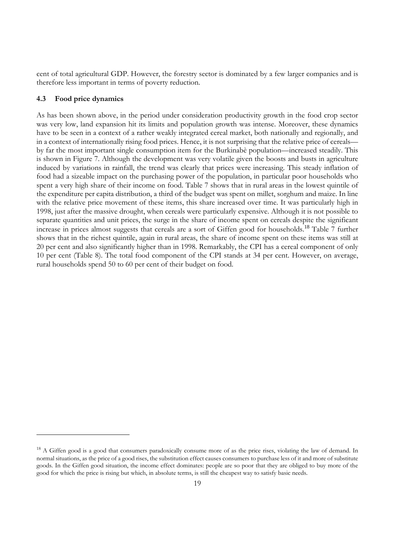cent of total agricultural GDP. However, the forestry sector is dominated by a few larger companies and is therefore less important in terms of poverty reduction.

#### **4.3 Food price dynamics**

-

As has been shown above, in the period under consideration productivity growth in the food crop sector was very low, land expansion hit its limits and population growth was intense. Moreover, these dynamics have to be seen in a context of a rather weakly integrated cereal market, both nationally and regionally, and in a context of internationally rising food prices. Hence, it is not surprising that the relative price of cereals by far the most important single consumption item for the Burkinabè population—increased steadily. This is shown in Figure 7. Although the development was very volatile given the boosts and busts in agriculture induced by variations in rainfall, the trend was clearly that prices were increasing. This steady inflation of food had a sizeable impact on the purchasing power of the population, in particular poor households who spent a very high share of their income on food. Table 7 shows that in rural areas in the lowest quintile of the expenditure per capita distribution, a third of the budget was spent on millet, sorghum and maize. In line with the relative price movement of these items, this share increased over time. It was particularly high in 1998, just after the massive drought, when cereals were particularly expensive. Although it is not possible to separate quantities and unit prices, the surge in the share of income spent on cereals despite the significant increase in prices almost suggests that cereals are a sort of Giffen good for households.<sup>18</sup> Table 7 further shows that in the richest quintile, again in rural areas, the share of income spent on these items was still at 20 per cent and also significantly higher than in 1998. Remarkably, the CPI has a cereal component of only 10 per cent (Table 8). The total food component of the CPI stands at 34 per cent. However, on average, rural households spend 50 to 60 per cent of their budget on food.

<sup>&</sup>lt;sup>18</sup> A Giffen good is a good that consumers paradoxically consume more of as the price rises, violating the law of demand. In normal situations, as the price of a good rises, the substitution effect causes consumers to purchase less of it and more of substitute goods. In the Giffen good situation, the income effect dominates: people are so poor that they are obliged to buy more of the good for which the price is rising but which, in absolute terms, is still the cheapest way to satisfy basic needs.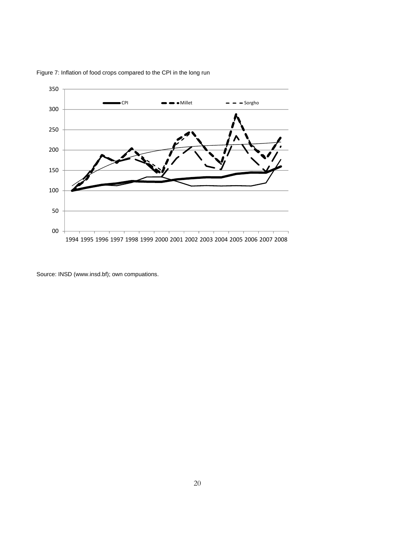

Figure 7: Inflation of food crops compared to the CPI in the long run

Source: INSD (www.insd.bf); own compuations.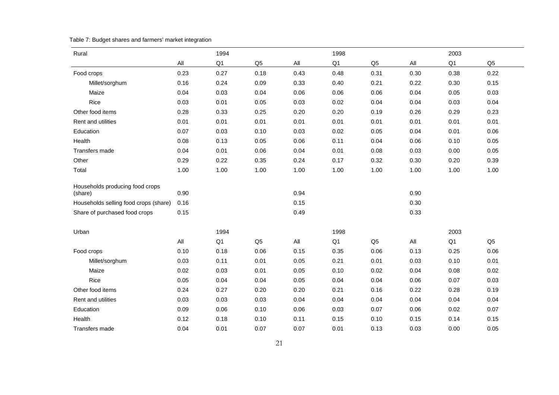| Rural                                      |      | 1994           |                |      | 1998           |                |              | 2003           |                |
|--------------------------------------------|------|----------------|----------------|------|----------------|----------------|--------------|----------------|----------------|
|                                            | All  | Q <sub>1</sub> | Q <sub>5</sub> | All  | Q <sub>1</sub> | Q <sub>5</sub> | All          | Q <sub>1</sub> | Q <sub>5</sub> |
| Food crops                                 | 0.23 | 0.27           | 0.18           | 0.43 | 0.48           | 0.31           | 0.30         | 0.38           | 0.22           |
| Millet/sorghum                             | 0.16 | 0.24           | 0.09           | 0.33 | 0.40           | 0.21           | 0.22         | 0.30           | 0.15           |
| Maize                                      | 0.04 | 0.03           | 0.04           | 0.06 | 0.06           | 0.06           | 0.04         | 0.05           | 0.03           |
| Rice                                       | 0.03 | 0.01           | 0.05           | 0.03 | 0.02           | 0.04           | 0.04         | 0.03           | 0.04           |
| Other food items                           | 0.28 | 0.33           | 0.25           | 0.20 | 0.20           | 0.19           | 0.26         | 0.29           | 0.23           |
| Rent and utilities                         | 0.01 | 0.01           | 0.01           | 0.01 | 0.01           | 0.01           | 0.01         | 0.01           | 0.01           |
| Education                                  | 0.07 | 0.03           | 0.10           | 0.03 | 0.02           | 0.05           | 0.04         | 0.01           | 0.06           |
| Health                                     | 0.08 | 0.13           | 0.05           | 0.06 | 0.11           | 0.04           | 0.06         | 0.10           | 0.05           |
| Transfers made                             | 0.04 | 0.01           | 0.06           | 0.04 | 0.01           | 0.08           | 0.03         | 0.00           | $0.05\,$       |
| Other                                      | 0.29 | 0.22           | 0.35           | 0.24 | 0.17           | 0.32           | 0.30         | 0.20           | 0.39           |
| Total                                      | 1.00 | 1.00           | 1.00           | 1.00 | 1.00           | 1.00           | 1.00         | 1.00           | 1.00           |
| Households producing food crops<br>(share) | 0.90 |                |                | 0.94 |                |                | 0.90         |                |                |
| Households selling food crops (share)      | 0.16 |                |                | 0.15 |                |                | 0.30         |                |                |
| Share of purchased food crops              | 0.15 |                |                | 0.49 |                |                | 0.33         |                |                |
| Urban                                      |      | 1994           |                |      | 1998           |                |              | 2003           |                |
|                                            | All  | Q <sub>1</sub> | Q <sub>5</sub> | All  | Q <sub>1</sub> | Q <sub>5</sub> | $A\parallel$ | Q <sub>1</sub> | Q <sub>5</sub> |
| Food crops                                 | 0.10 | 0.18           | 0.06           | 0.15 | 0.35           | 0.06           | 0.13         | 0.25           | 0.06           |
| Millet/sorghum                             | 0.03 | 0.11           | 0.01           | 0.05 | 0.21           | 0.01           | 0.03         | 0.10           | 0.01           |
| Maize                                      | 0.02 | 0.03           | 0.01           | 0.05 | 0.10           | 0.02           | 0.04         | 0.08           | 0.02           |
| Rice                                       | 0.05 | 0.04           | 0.04           | 0.05 | 0.04           | 0.04           | 0.06         | 0.07           | 0.03           |
| Other food items                           | 0.24 | 0.27           | 0.20           | 0.20 | 0.21           | 0.16           | 0.22         | 0.28           | 0.19           |
| Rent and utilities                         | 0.03 | 0.03           | 0.03           | 0.04 | 0.04           | 0.04           | 0.04         | 0.04           | 0.04           |
| Education                                  | 0.09 | 0.06           | 0.10           | 0.06 | 0.03           | 0.07           | 0.06         | 0.02           | 0.07           |
| Health                                     | 0.12 | 0.18           | 0.10           | 0.11 | 0.15           | 0.10           | 0.15         | 0.14           | 0.15           |
| Transfers made                             | 0.04 | 0.01           | 0.07           | 0.07 | 0.01           | 0.13           | 0.03         | 0.00           | 0.05           |

## Table 7: Budget shares and farmers' market integration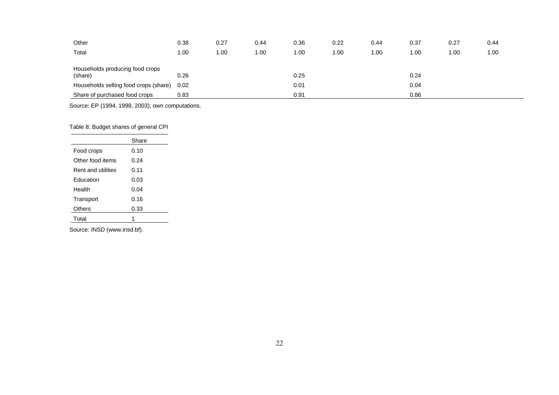| Other                                      | 0.38 | 0.27 | 0.44 | 0.36 | 0.22 | 0.44 | 0.37 | 0.27  | 0.44 |
|--------------------------------------------|------|------|------|------|------|------|------|-------|------|
| Total                                      | .00  | 1.00 | 1.00 | 1.00 | 1.00 | 0.00 | 1.00 | 00. ا | 1.00 |
| Households producing food crops<br>(share) | 0.26 |      |      | 0.25 |      |      | 0.24 |       |      |
| Households selling food crops (share)      | 0.02 |      |      | 0.01 |      |      | 0.04 |       |      |
| Share of purchased food crops              | 0.83 |      |      | 0.91 |      |      | 0.86 |       |      |

Source: EP (1994, 1998, 2003); own computations.

Table 8: Budget shares of general CPI

|                           | Share |
|---------------------------|-------|
| Food crops                | 0.10  |
| Other food items          | 0.24  |
| <b>Rent and utilities</b> | 0.11  |
| <b>Education</b>          | 0.03  |
| Health                    | 0.04  |
| Transport                 | 0.16  |
| Others                    | 0.33  |
| Total                     |       |

Source: INSD (www.insd.bf).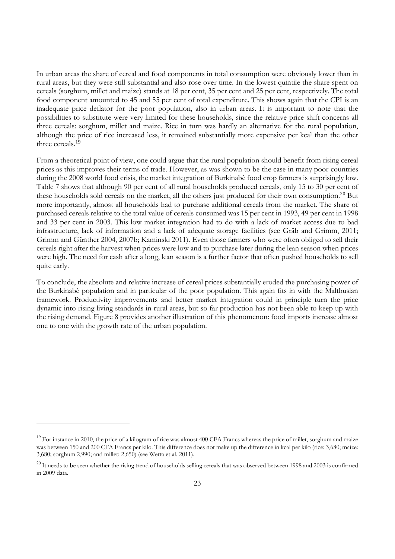In urban areas the share of cereal and food components in total consumption were obviously lower than in rural areas, but they were still substantial and also rose over time. In the lowest quintile the share spent on cereals (sorghum, millet and maize) stands at 18 per cent, 35 per cent and 25 per cent, respectively. The total food component amounted to 45 and 55 per cent of total expenditure. This shows again that the CPI is an inadequate price deflator for the poor population, also in urban areas. It is important to note that the possibilities to substitute were very limited for these households, since the relative price shift concerns all three cereals: sorghum, millet and maize. Rice in turn was hardly an alternative for the rural population, although the price of rice increased less, it remained substantially more expensive per kcal than the other three cereals<sup>19</sup>

From a theoretical point of view, one could argue that the rural population should benefit from rising cereal prices as this improves their terms of trade. However, as was shown to be the case in many poor countries during the 2008 world food crisis, the market integration of Burkinabè food crop farmers is surprisingly low. Table 7 shows that although 90 per cent of all rural households produced cereals, only 15 to 30 per cent of these households sold cereals on the market, all the others just produced for their own consumption.<sup>20</sup> But more importantly, almost all households had to purchase additional cereals from the market. The share of purchased cereals relative to the total value of cereals consumed was 15 per cent in 1993, 49 per cent in 1998 and 33 per cent in 2003. This low market integration had to do with a lack of market access due to bad infrastructure, lack of information and a lack of adequate storage facilities (see Gräb and Grimm, 2011; Grimm and Günther 2004, 2007b; Kaminski 2011). Even those farmers who were often obliged to sell their cereals right after the harvest when prices were low and to purchase later during the lean season when prices were high. The need for cash after a long, lean season is a further factor that often pushed households to sell quite early.

To conclude, the absolute and relative increase of cereal prices substantially eroded the purchasing power of the Burkinabè population and in particular of the poor population. This again fits in with the Malthusian framework. Productivity improvements and better market integration could in principle turn the price dynamic into rising living standards in rural areas, but so far production has not been able to keep up with the rising demand. Figure 8 provides another illustration of this phenomenon: food imports increase almost one to one with the growth rate of the urban population.

 $19$  For instance in 2010, the price of a kilogram of rice was almost 400 CFA Francs whereas the price of millet, sorghum and maize was between 150 and 200 CFA Francs per kilo. This difference does not make up the difference in kcal per kilo (rice: 3,680; maize: 3,680; sorghum 2,990; and millet: 2,650) (see Wetta et al. 2011).

 $^{20}$  It needs to be seen whether the rising trend of households selling cereals that was observed between 1998 and 2003 is confirmed in 2009 data.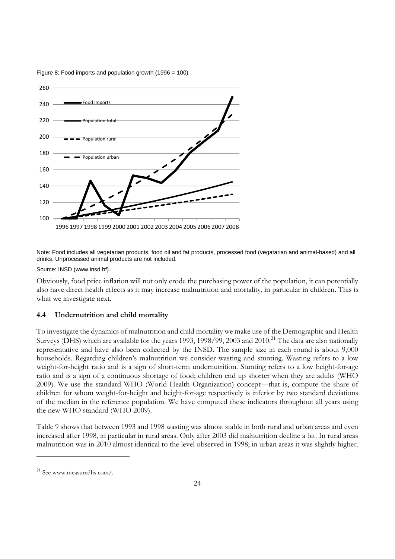

Figure 8: Food imports and population growth (1996 = 100)

Note: Food includes all vegetarian products, food oil and fat products, processed food (vegatarian and animal-based) and all drinks. Unprocessed animal products are not included.

Source: INSD (www.insd.bf).

Obviously, food price inflation will not only erode the purchasing power of the population, it can potentially also have direct health effects as it may increase malnutrition and mortality, in particular in children. This is what we investigate next.

#### **4.4 Undernutrition and child mortality**

To investigate the dynamics of malnutrition and child mortality we make use of the Demographic and Health Surveys (DHS) which are available for the years 1993, 1998/99, 2003 and 2010.<sup>21</sup> The data are also nationally representative and have also been collected by the INSD. The sample size in each round is about 9,000 households. Regarding children's malnutrition we consider wasting and stunting. Wasting refers to a low weight-for-height ratio and is a sign of short-term undernutrition. Stunting refers to a low height-for-age ratio and is a sign of a continuous shortage of food; children end up shorter when they are adults (WHO 2009). We use the standard WHO (World Health Organization) concept—that is, compute the share of children for whom weight-for-height and height-for-age respectively is inferior by two standard deviations of the median in the reference population. We have computed these indicators throughout all years using the new WHO standard (WHO 2009).

Table 9 shows that between 1993 and 1998 wasting was almost stable in both rural and urban areas and even increased after 1998, in particular in rural areas. Only after 2003 did malnutrition decline a bit. In rural areas malnutrition was in 2010 almost identical to the level observed in 1998; in urban areas it was slightly higher.

 $^{21}$  See www.measuredhs.com/.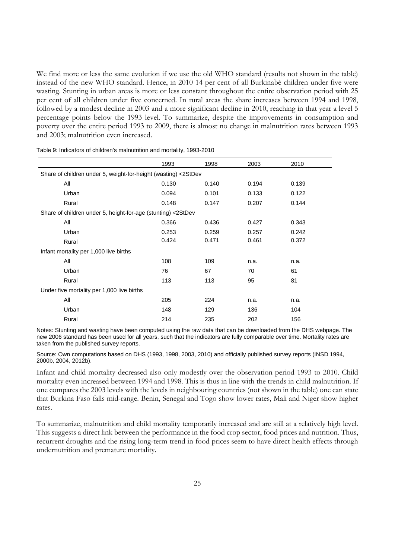We find more or less the same evolution if we use the old WHO standard (results not shown in the table) instead of the new WHO standard. Hence, in 2010 14 per cent of all Burkinabè children under five were wasting. Stunting in urban areas is more or less constant throughout the entire observation period with 25 per cent of all children under five concerned. In rural areas the share increases between 1994 and 1998, followed by a modest decline in 2003 and a more significant decline in 2010, reaching in that year a level 5 percentage points below the 1993 level. To summarize, despite the improvements in consumption and poverty over the entire period 1993 to 2009, there is almost no change in malnutrition rates between 1993 and 2003; malnutrition even increased.

|                                                                | 1993  | 1998  | 2003  | 2010  |  |
|----------------------------------------------------------------|-------|-------|-------|-------|--|
| Share of children under 5, weight-for-height (wasting) <2StDev |       |       |       |       |  |
| All                                                            | 0.130 | 0.140 | 0.194 | 0.139 |  |
| Urban                                                          | 0.094 | 0.101 | 0.133 | 0.122 |  |
| Rural                                                          | 0.148 | 0.147 | 0.207 | 0.144 |  |
| Share of children under 5, height-for-age (stunting) <2StDev   |       |       |       |       |  |
| All                                                            | 0.366 | 0.436 | 0.427 | 0.343 |  |
| Urban                                                          | 0.253 | 0.259 | 0.257 | 0.242 |  |
| Rural                                                          | 0.424 | 0.471 | 0.461 | 0.372 |  |
| Infant mortality per 1,000 live births                         |       |       |       |       |  |
| All                                                            | 108   | 109   | n.a.  | n.a.  |  |
| Urban                                                          | 76    | 67    | 70    | 61    |  |
| Rural                                                          | 113   | 113   | 95    | 81    |  |
| Under five mortality per 1,000 live births                     |       |       |       |       |  |
| All                                                            | 205   | 224   | n.a.  | n.a.  |  |
| Urban                                                          | 148   | 129   | 136   | 104   |  |
| Rural                                                          | 214   | 235   | 202   | 156   |  |

Table 9: Indicators of children's malnutrition and mortality, 1993-2010

Notes: Stunting and wasting have been computed using the raw data that can be downloaded from the DHS webpage. The new 2006 standard has been used for all years, such that the indicators are fully comparable over time. Mortality rates are taken from the published survey reports.

Source: Own computations based on DHS (1993, 1998, 2003, 2010) and officially published survey reports (INSD 1994, 2000b, 2004, 2012b).

Infant and child mortality decreased also only modestly over the observation period 1993 to 2010. Child mortality even increased between 1994 and 1998. This is thus in line with the trends in child malnutrition. If one compares the 2003 levels with the levels in neighbouring countries (not shown in the table) one can state that Burkina Faso falls mid-range. Benin, Senegal and Togo show lower rates, Mali and Niger show higher rates.

To summarize, malnutrition and child mortality temporarily increased and are still at a relatively high level. This suggests a direct link between the performance in the food crop sector, food prices and nutrition. Thus, recurrent droughts and the rising long-term trend in food prices seem to have direct health effects through undernutrition and premature mortality.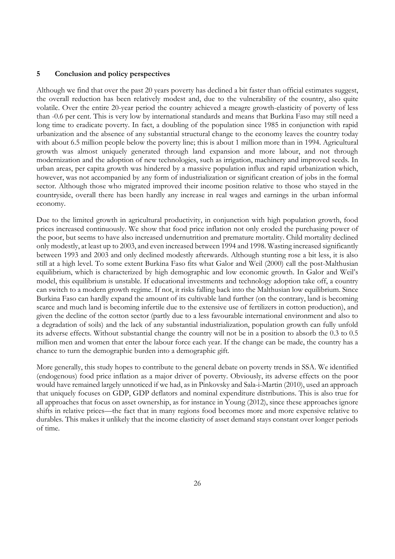#### **5 Conclusion and policy perspectives**

Although we find that over the past 20 years poverty has declined a bit faster than official estimates suggest, the overall reduction has been relatively modest and, due to the vulnerability of the country, also quite volatile. Over the entire 20-year period the country achieved a meagre growth-elasticity of poverty of less than -0.6 per cent. This is very low by international standards and means that Burkina Faso may still need a long time to eradicate poverty. In fact, a doubling of the population since 1985 in conjunction with rapid urbanization and the absence of any substantial structural change to the economy leaves the country today with about 6.5 million people below the poverty line; this is about 1 million more than in 1994. Agricultural growth was almost uniquely generated through land expansion and more labour, and not through modernization and the adoption of new technologies, such as irrigation, machinery and improved seeds. In urban areas, per capita growth was hindered by a massive population influx and rapid urbanization which, however, was not accompanied by any form of industrialization or significant creation of jobs in the formal sector. Although those who migrated improved their income position relative to those who stayed in the countryside, overall there has been hardly any increase in real wages and earnings in the urban informal economy.

Due to the limited growth in agricultural productivity, in conjunction with high population growth, food prices increased continuously. We show that food price inflation not only eroded the purchasing power of the poor, but seems to have also increased undernutrition and premature mortality. Child mortality declined only modestly, at least up to 2003, and even increased between 1994 and 1998. Wasting increased significantly between 1993 and 2003 and only declined modestly afterwards. Although stunting rose a bit less, it is also still at a high level. To some extent Burkina Faso fits what Galor and Weil (2000) call the post-Malthusian equilibrium, which is characterized by high demographic and low economic growth. In Galor and Weil's model, this equilibrium is unstable. If educational investments and technology adoption take off, a country can switch to a modern growth regime. If not, it risks falling back into the Malthusian low equilibrium. Since Burkina Faso can hardly expand the amount of its cultivable land further (on the contrary, land is becoming scarce and much land is becoming infertile due to the extensive use of fertilizers in cotton production), and given the decline of the cotton sector (partly due to a less favourable international environment and also to a degradation of soils) and the lack of any substantial industrialization, population growth can fully unfold its adverse effects. Without substantial change the country will not be in a position to absorb the 0.3 to 0.5 million men and women that enter the labour force each year. If the change can be made, the country has a chance to turn the demographic burden into a demographic gift.

More generally, this study hopes to contribute to the general debate on poverty trends in SSA. We identified (endogenous) food price inflation as a major driver of poverty. Obviously, its adverse effects on the poor would have remained largely unnoticed if we had, as in Pinkovsky and Sala-i-Martin (2010), used an approach that uniquely focuses on GDP, GDP deflators and nominal expenditure distributions. This is also true for all approaches that focus on asset ownership, as for instance in Young (2012), since these approaches ignore shifts in relative prices—the fact that in many regions food becomes more and more expensive relative to durables. This makes it unlikely that the income elasticity of asset demand stays constant over longer periods of time.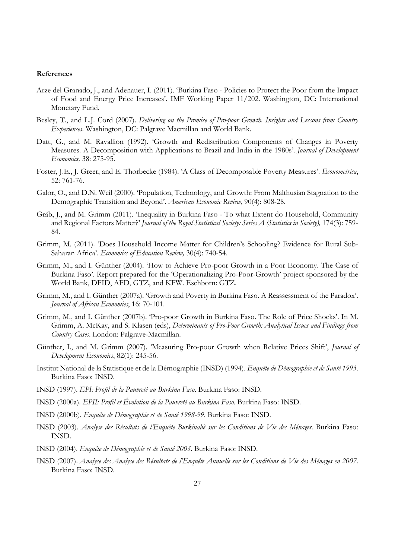#### **References**

- Arze del Granado, J., and Adenauer, I. (2011). 'Burkina Faso Policies to Protect the Poor from the Impact of Food and Energy Price Increases'. IMF Working Paper 11/202. Washington, DC: International Monetary Fund.
- Besley, T., and L.J. Cord (2007). *Delivering on the Promise of Pro-poor Growth. Insights and Lessons from Country Experiences*. Washington, DC: Palgrave Macmillan and World Bank.
- Datt, G., and M. Ravallion (1992). 'Growth and Redistribution Components of Changes in Poverty Measures. A Decomposition with Applications to Brazil and India in the 1980s'. *Journal of Development Economics,* 38: 275-95.
- Foster, J.E., J. Greer, and E. Thorbecke (1984). 'A Class of Decomposable Poverty Measures'. *Econometrica*, 52: 761-76.
- Galor, O., and D.N. Weil (2000). 'Population, Technology, and Growth: From Malthusian Stagnation to the Demographic Transition and Beyond'. *American Economic Review*, 90(4): 808-28.
- Gräb, J., and M. Grimm (2011). 'Inequality in Burkina Faso To what Extent do Household, Community and Regional Factors Matter?' *Journal of the Royal Statistical Society: Series A (Statistics in Society),* 174(3): 759- 84.
- Grimm, M. (2011). 'Does Household Income Matter for Children's Schooling? Evidence for Rural Sub-Saharan Africa'. *Economics of Education Review,* 30(4): 740-54.
- Grimm, M., and I. Günther (2004). 'How to Achieve Pro-poor Growth in a Poor Economy. The Case of Burkina Faso'. Report prepared for the 'Operationalizing Pro-Poor-Growth' project sponsored by the World Bank, DFID, AFD, GTZ, and KFW. Eschborn: GTZ.
- Grimm, M., and I. Günther (2007a). 'Growth and Poverty in Burkina Faso. A Reassessment of the Paradox'. *Journal of African Economies*, 16: 70-101.
- Grimm, M., and I. Günther (2007b). 'Pro-poor Growth in Burkina Faso. The Role of Price Shocks'. In M. Grimm, A. McKay, and S. Klasen (eds), *Determinants of Pro-Poor Growth: Analytical Issues and Findings from Country Cases*. London: Palgrave-Macmillan.
- Günther, I., and M. Grimm (2007). 'Measuring Pro-poor Growth when Relative Prices Shift', *Journal of Development Economics*, 82(1): 245-56.
- Institut National de la Statistique et de la Démographie (INSD) (1994). *Enquête de Démographie et de Santé 1993*. Burkina Faso: INSD.
- INSD (1997). *EPI: Profil de la Pauvreté au Burkina Faso*. Burkina Faso: INSD.
- INSD (2000a). *EPII: Profil et Évolution de la Pauvreté au Burkina Faso*. Burkina Faso: INSD.
- INSD (2000b). *Enquête de Démographie et de Santé 1998-99*. Burkina Faso: INSD.
- INSD (2003). *Analyse des Résultats de l'Enquête Burkinabè sur les Conditions de Vie des Ménages*. Burkina Faso: INSD.
- INSD (2004). *Enquête de Démographie et de Santé 2003*. Burkina Faso: INSD.
- INSD (2007). *Analyse des Analyse des Résultats de l'Enquête Annuelle sur les Conditions de Vie des Ménages en 2007*. Burkina Faso: INSD.